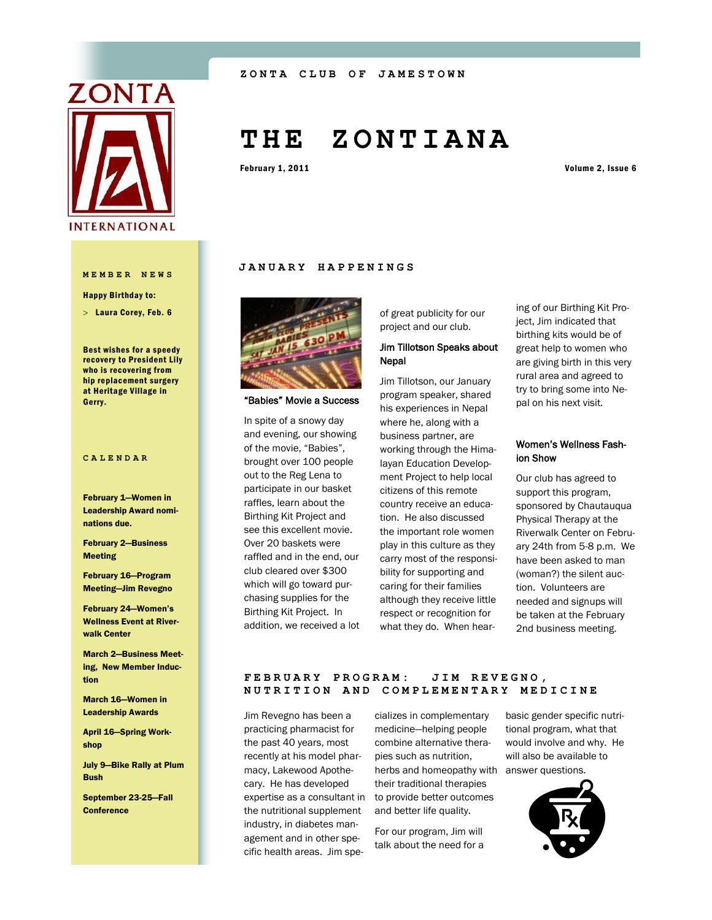

#### **MEMBER NEWS**

Happy Birthday to:

 $>$  Laura Corey, Feb. 6

Best wishes for a speedy recovery to President Lily who is recovering from hip replacement surgery at Heritage Village in Gerry.

#### **CALENDAR**

February 1—Women in Leadership Award nominations due.

February 2—Business Meeting

February 16—Program Meeting—Jim Revegno

February 24—Women's Wellness Event at Riverwalk Center

March 2—Business Meeting, New Member Induction

March 16—Women in Leadership Awards

April 16—Spring Workshop

July 9—Bike Rally at Plum Bush

September 23-25—Fall **Conference** 

# **T H E Z O N T I A N A**

February 1, 2011 **February 1, 2011 Contract Contract Contract Contract Contract Contract Contract Contract Contract Contract Contract Contract Contract Contract Contract Contract Contract Contract Contract Contract Contr** 

#### **JANUARY HAPPENINGS**



#### "Babies" Movie a Success

In spite of a snowy day and evening, our showing of the movie, "Babies", brought over 100 people out to the Reg Lena to participate in our basket raffles, learn about the Birthing Kit Project and see this excellent movie. Over 20 baskets were raffled and in the end, our club cleared over \$300 which will go toward purchasing supplies for the Birthing Kit Project. In addition, we received a lot of great publicity for our project and our club.

# Jim Tillotson Speaks about Nepal

Jim Tillotson, our January program speaker, shared his experiences in Nepal where he, along with a business partner, are working through the Himalayan Education Development Project to help local citizens of this remote country receive an education. He also discussed the important role women play in this culture as they carry most of the responsibility for supporting and caring for their families although they receive little respect or recognition for what they do. When hearing of our Birthing Kit Project, Jim indicated that birthing kits would be of great help to women who are giving birth in this very rural area and agreed to try to bring some into Nepal on his next visit.

# Women's Wellness Fashion Show

Our club has agreed to support this program, sponsored by Chautauqua Physical Therapy at the Riverwalk Center on February 24th from 5-8 p.m. We have been asked to man (woman?) the silent auction. Volunteers are needed and signups will be taken at the February 2nd business meeting.

# FEBRUARY PROGRAM: JIM REVEGNO, **NUTRITION AND COMPLEMENTARY MEDICINE**

Jim Revegno has been a practicing pharmacist for the past 40 years, most recently at his model pharmacy, Lakewood Apothecary. He has developed expertise as a consultant in the nutritional supplement industry, in diabetes management and in other specific health areas. Jim spe-

cializes in complementary medicine—helping people combine alternative therapies such as nutrition, herbs and homeopathy with answer questions.

their traditional therapies to provide better outcomes and better life quality.

For our program, Jim will talk about the need for a basic gender specific nutritional program, what that would involve and why. He will also be available to

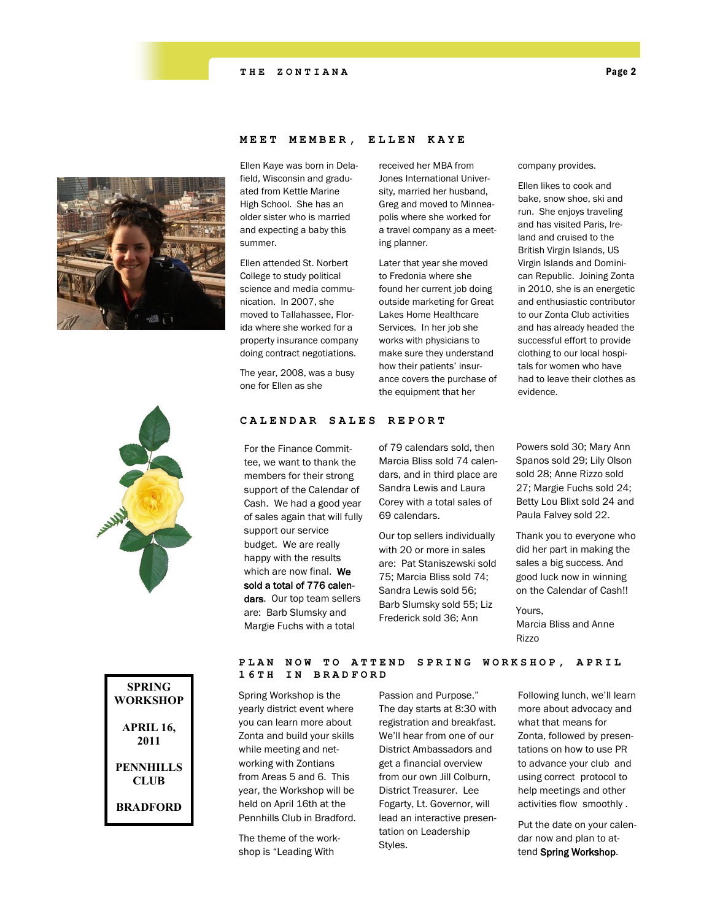# **THE ZONTIANA** Page 2



#### **MEET MEMBER, ELLEN K AYE**

Ellen Kaye was born in Delafield, Wisconsin and graduated from Kettle Marine High School. She has an older sister who is married and expecting a baby this summer.

Ellen attended St. Norbert College to study political science and media communication. In 2007, she moved to Tallahassee, Florida where she worked for a property insurance company doing contract negotiations.

The year, 2008, was a busy one for Ellen as she

received her MBA from Jones International University, married her husband, Greg and moved to Minneapolis where she worked for a travel company as a meeting planner.

Later that year she moved to Fredonia where she found her current job doing outside marketing for Great Lakes Home Healthcare Services. In her job she works with physicians to make sure they understand how their patients' insurance covers the purchase of the equipment that her

company provides.

Ellen likes to cook and bake, snow shoe, ski and run. She enjoys traveling and has visited Paris, Ireland and cruised to the British Virgin Islands, US Virgin Islands and Dominican Republic. Joining Zonta in 2010, she is an energetic and enthusiastic contributor to our Zonta Club activities and has already headed the successful effort to provide clothing to our local hospitals for women who have had to leave their clothes as evidence.



CALENDAR SALES REPORT

For the Finance Committee, we want to thank the members for their strong support of the Calendar of Cash. We had a good year of sales again that will fully support our service budget. We are really happy with the results which are now final. We sold a total of 776 calendars. Our top team sellers are: Barb Slumsky and Margie Fuchs with a total

of 79 calendars sold, then Marcia Bliss sold 74 calendars, and in third place are Sandra Lewis and Laura Corey with a total sales of 69 calendars.

Our top sellers individually with 20 or more in sales are: Pat Staniszewski sold 75; Marcia Bliss sold 74; Sandra Lewis sold 56; Barb Slumsky sold 55; Liz Frederick sold 36; Ann

Powers sold 30; Mary Ann Spanos sold 29; Lily Olson sold 28; Anne Rizzo sold 27; Margie Fuchs sold 24; Betty Lou Blixt sold 24 and Paula Falvey sold 22.

Thank you to everyone who did her part in making the sales a big success. And good luck now in winning on the Calendar of Cash!!

Yours, Marcia Bliss and Anne Rizzo

# **SPRING WORKSHOP APRIL 16, 2011 PENNHILLS CLUB BRADFORD**

## **P L A N N O W T O A T T E N D S P R I N G W O R K S H O P , A P R I L 1 6 T H I N B R A D F O R D**

Spring Workshop is the yearly district event where you can learn more about Zonta and build your skills while meeting and networking with Zontians from Areas 5 and 6. This year, the Workshop will be held on April 16th at the Pennhills Club in Bradford.

The theme of the workshop is "Leading With

Passion and Purpose." The day starts at 8:30 with registration and breakfast. We'll hear from one of our District Ambassadors and get a financial overview from our own Jill Colburn, District Treasurer. Lee Fogarty, Lt. Governor, will lead an interactive presentation on Leadership Styles.

Following lunch, we'll learn more about advocacy and what that means for Zonta, followed by presentations on how to use PR to advance your club and using correct protocol to help meetings and other activities flow smoothly .

Put the date on your calendar now and plan to attend Spring Workshop.